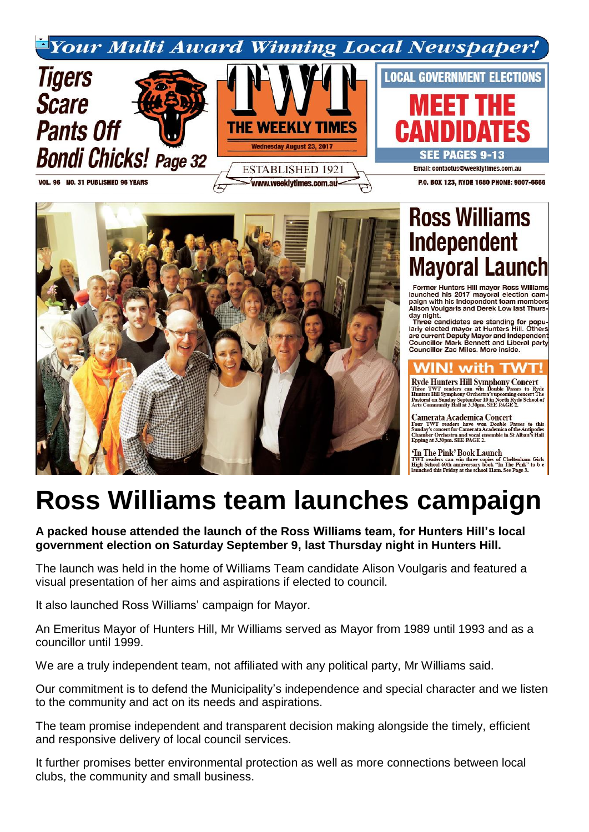



Former Hunters Hill mayor Ross Williams<br>launched his 2017 mayoral election campaign with his Independent team members<br>Alison Voulgaris and Derek Low last Thursday night.<br>Three candidates are standing for popu-

The canonical star stationary of the large proportional star current Deputy Mayor and Independent<br>Councillor Mark Bennett and Liberal party Councillor Zac Miles. More inside.



**Ryde Hunters Hill Symphony Concert** Three TWT readers can win Double Passes to Ryde<br>Hunters Hill Symphony Orchestra's upcoming concert The<br>Pastoral on Sunday September 10 in North Ryde School of<br>Arts Community Hall at 3.30pm. SEE PAGE 2.

**Camerata Academica Concert**<br>Four TWT readers have won Double Passes to this<br>Sunday's concert for Camerata Academica of the Antipodes<br>Chamber Orchestra and wocal ensemble in St Alban's Hall<br>Epping at 3.30pm. SEE PAGE 2.

## 'In The Pink' Book Launch

**THE THIR DUOR LAUREST COMPARENT TRANSPARENT TRANSPARENT HEREAD COMPARENT COMPARENT AND HOTEL THE PINK"** to be launched this Friday at the school 11am. See Page 3.

## **Ross Williams team launches campaign**

**A packed house attended the launch of the Ross Williams team, for Hunters Hill's local government election on Saturday September 9, last Thursday night in Hunters Hill.**

The launch was held in the home of Williams Team candidate Alison Voulgaris and featured a visual presentation of her aims and aspirations if elected to council.

It also launched Ross Williams' campaign for Mayor.

An Emeritus Mayor of Hunters Hill, Mr Williams served as Mayor from 1989 until 1993 and as a councillor until 1999.

We are a truly independent team, not affiliated with any political party, Mr Williams said.

Our commitment is to defend the Municipality's independence and special character and we listen to the community and act on its needs and aspirations.

The team promise independent and transparent decision making alongside the timely, efficient and responsive delivery of local council services.

It further promises better environmental protection as well as more connections between local clubs, the community and small business.